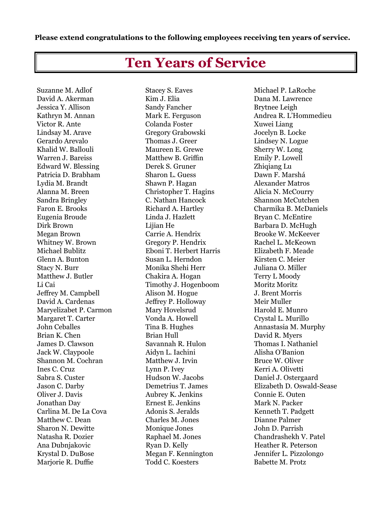## **Please extend congratulations to the following employees receiving ten years of service.**

## **Ten Years of Service**

Suzanne M. Adlof Stacey S. Eaves Michael P. LaRoche David A. Akerman Kim J. Elia Dana M. Lawrence Jessica Y. Allison Sandy Fancher Brytnee Leigh Victor R. Ante Colanda Foster Xuwei Liang Lindsay M. Arave Gregory Grabowski Jocelyn B. Locke Gerardo Arevalo Thomas J. Greer Lindsey N. Logue Khalid W. Ballouli Maureen E. Grewe Sherry W. Long Warren J. Bareiss Matthew B. Griffin Emily P. Lowell Edward W. Blessing Derek S. Gruner Zhiqiang Lu Patricia D. Brabham Sharon L. Guess Dawn F. Marshá Lydia M. Brandt Shawn P. Hagan Alexander Matros Alanna M. Breen Christopher T. Hagins Alicia N. McCourry Sandra Bringley C. Nathan Hancock Shannon McCutchen Eugenia Broude Linda J. Hazlett Bryan C. McEntire Dirk Brown **Lijian He** Barbara D. McHugh Megan Brown Carrie A. Hendrix Brooke W. McKeever Whitney W. Brown Gregory P. Hendrix Rachel L. McKeown Michael Bublitz Eboni T. Herbert Harris Elizabeth F. Meade Glenn A. Bunton Susan L. Herndon Kirsten C. Meier Stacy N. Burr Monika Shehi Herr Juliana O. Miller Matthew J. Butler Chakira A. Hogan Terry L Moody Li Cai Timothy J. Hogenboom Moritz Moritz Jeffrey M. Campbell Alison M. Hogue J. Brent Morris David A. Cardenas Jeffrey P. Holloway Meir Muller Maryelizabet P. Carmon Mary Hovelsrud Harold E. Munro Margaret T. Carter Vonda A. Howell Crystal L. Murillo Brian K. Chen Brian Hull David R. Myers James D. Clawson Savannah R. Hulon Thomas I. Nathaniel Jack W. Claypoole Aidyn L. Iachini Shannon M. Cochran Matthew J. Irvin Bruce W. Oliver Ines C. Cruz Lynn P. Ivey Kerri A. Olivetti Sabra S. Custer Hudson W. Jacobs Daniel J. Ostergaard Oliver J. Davis Aubrey K. Jenkins Connie E. Outen Jonathan Day **Example Example Example 1** External Extract E. Jenkins Mark N. Packer Carlina M. De La Cova (Adonis S. Jeralds Kenneth T. Padgett) Matthew C. Dean Charles M. Jones Dianne Palmer Sharon N. Dewitte Monique Jones John D. Parrish Ana Dubnjakovic **Ryan D. Kelly** Heather R. Peterson Krystal D. DuBose Megan F. Kennington Jennifer L. Pizzolongo

Marjorie R. Duffie Todd C. Koesters Babette M. Protz

Kathryn M. Annan Mark E. Ferguson Mark Andrea R. L'Hommedieu Faron E. Brooks Richard A. Hartley Charmika B. McDaniels John Ceballes Tina B. Hughes Annastasia M. Murphy Jason C. Darby Demetrius T. James Elizabeth D. Oswald-Sease Natasha R. Dozier Raphael M. Jones Chandrashekh V. Patel